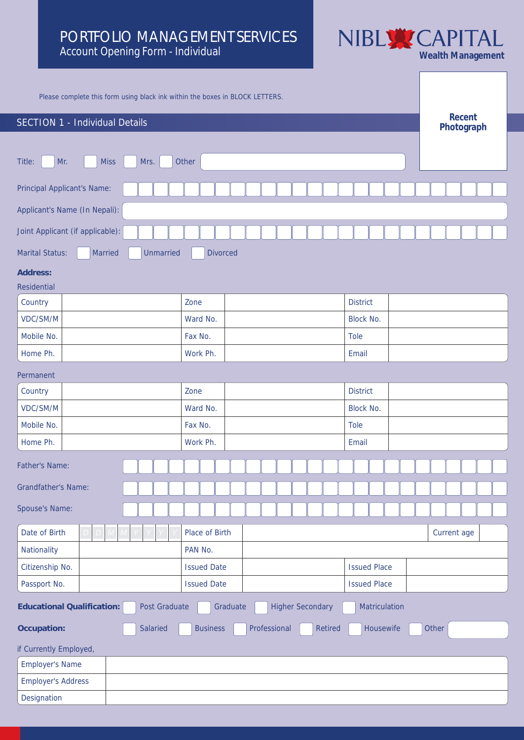# PORTFOLIO MANAGEMENT SERVICES **PORTFOLIO MANAGEMENT SERVICES** NIBLY CAPITAL Account Opening Form - Individual WEARL Management



**Photograph**

Please complete this form using black ink within the boxes in BLOCK LETTERS.

# **SECTION 1** - Individual Details **Recent Recent**

| Title:<br>Mr.<br><b>Miss</b><br>Mrs.                                                                | Other              |         |                  |       |  |         |                  |           |             |                     |       |  |                      |  |  |  |  |  |  |
|-----------------------------------------------------------------------------------------------------|--------------------|---------|------------------|-------|--|---------|------------------|-----------|-------------|---------------------|-------|--|----------------------|--|--|--|--|--|--|
| <b>Principal Applicant's Name:</b>                                                                  |                    |         |                  |       |  |         |                  |           |             |                     |       |  |                      |  |  |  |  |  |  |
| Applicant's Name (In Nepali):                                                                       |                    |         |                  |       |  |         |                  |           |             |                     |       |  |                      |  |  |  |  |  |  |
| Joint Applicant (if applicable):                                                                    |                    |         |                  |       |  |         |                  |           |             |                     |       |  |                      |  |  |  |  |  |  |
| <b>Marital Status:</b><br>Married<br>Unmarried                                                      | <b>Divorced</b>    |         |                  |       |  |         |                  |           |             |                     |       |  |                      |  |  |  |  |  |  |
| Address:                                                                                            |                    |         |                  |       |  |         |                  |           |             |                     |       |  |                      |  |  |  |  |  |  |
| Residential                                                                                         |                    |         |                  |       |  |         |                  |           |             |                     |       |  |                      |  |  |  |  |  |  |
| Country                                                                                             | Zone               |         |                  |       |  |         | <b>District</b>  |           |             |                     |       |  |                      |  |  |  |  |  |  |
| VDC/SM/M                                                                                            | Ward No.           |         |                  |       |  |         | <b>Block No.</b> |           |             |                     |       |  |                      |  |  |  |  |  |  |
| Mobile No.                                                                                          | Fax No.            |         |                  |       |  |         | <b>Tole</b>      |           |             |                     |       |  |                      |  |  |  |  |  |  |
| Home Ph.                                                                                            | Work Ph.           |         |                  |       |  |         | Email            |           |             |                     |       |  |                      |  |  |  |  |  |  |
| Permanent                                                                                           |                    |         |                  |       |  |         |                  |           |             |                     |       |  |                      |  |  |  |  |  |  |
| Country                                                                                             | Zone               |         | <b>District</b>  |       |  |         |                  |           |             |                     |       |  |                      |  |  |  |  |  |  |
| VDC/SM/M                                                                                            | Ward No.           |         | <b>Block No.</b> |       |  |         |                  |           |             |                     |       |  |                      |  |  |  |  |  |  |
| Mobile No.                                                                                          | Fax No.            |         |                  |       |  |         |                  |           | <b>Tole</b> |                     |       |  |                      |  |  |  |  |  |  |
| Home Ph.                                                                                            | Work Ph.           |         |                  | Email |  |         |                  |           |             |                     |       |  |                      |  |  |  |  |  |  |
| <b>Father's Name:</b>                                                                               |                    |         |                  |       |  |         |                  |           |             |                     |       |  |                      |  |  |  |  |  |  |
| <b>Grandfather's Name:</b>                                                                          |                    |         |                  |       |  |         |                  |           |             |                     |       |  |                      |  |  |  |  |  |  |
| <b>Spouse's Name:</b>                                                                               |                    |         |                  |       |  |         |                  |           |             |                     |       |  |                      |  |  |  |  |  |  |
|                                                                                                     |                    |         |                  |       |  |         |                  |           |             |                     |       |  |                      |  |  |  |  |  |  |
| Date of Birth<br><b>Nationality</b>                                                                 | Place of Birth     |         |                  |       |  |         |                  |           |             |                     |       |  | $\text{Current age}$ |  |  |  |  |  |  |
| Citizenship No.                                                                                     | <b>Issued Date</b> | PAN No. |                  |       |  |         |                  |           |             | <b>Issued Place</b> |       |  |                      |  |  |  |  |  |  |
|                                                                                                     |                    |         |                  |       |  |         |                  |           |             |                     |       |  |                      |  |  |  |  |  |  |
| Passport No.<br><b>Issued Date</b><br><b>Issued Place</b>                                           |                    |         |                  |       |  |         |                  |           |             |                     |       |  |                      |  |  |  |  |  |  |
| <b>Higher Secondary</b><br>Educational Qualification:<br>Post Graduate<br>Graduate<br>Matriculation |                    |         |                  |       |  |         |                  |           |             |                     |       |  |                      |  |  |  |  |  |  |
| Salaried<br>Occupation:                                                                             | <b>Business</b>    |         | Professional     |       |  | Retired |                  | Housewife |             |                     | Other |  |                      |  |  |  |  |  |  |
| if Currently Employed,                                                                              |                    |         |                  |       |  |         |                  |           |             |                     |       |  |                      |  |  |  |  |  |  |
| <b>Employer's Name</b>                                                                              |                    |         |                  |       |  |         |                  |           |             |                     |       |  |                      |  |  |  |  |  |  |
| <b>Employer's Address</b>                                                                           |                    |         |                  |       |  |         |                  |           |             |                     |       |  |                      |  |  |  |  |  |  |
| Designation                                                                                         |                    |         |                  |       |  |         |                  |           |             |                     |       |  |                      |  |  |  |  |  |  |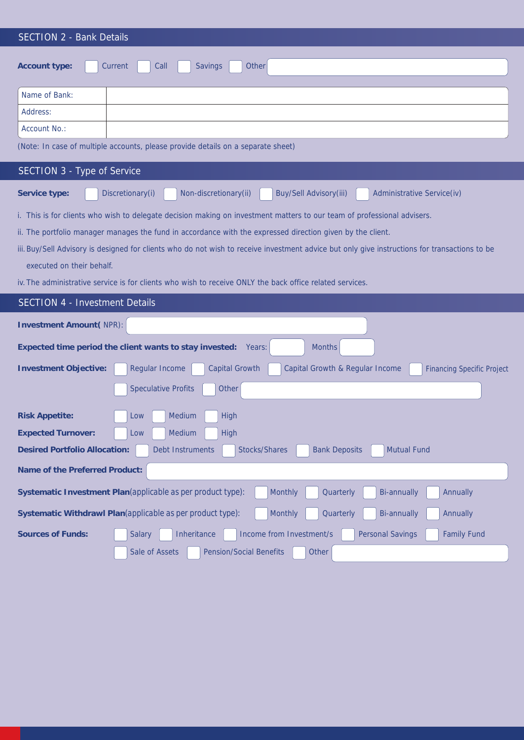| <b>SECTION 2 - Bank Details</b>                                                                                                                                            |  |  |  |  |  |  |  |
|----------------------------------------------------------------------------------------------------------------------------------------------------------------------------|--|--|--|--|--|--|--|
| Other<br>Call<br>Account type:<br>Current<br><b>Savings</b>                                                                                                                |  |  |  |  |  |  |  |
| Name of Bank:                                                                                                                                                              |  |  |  |  |  |  |  |
| Address:                                                                                                                                                                   |  |  |  |  |  |  |  |
| <b>Account No.:</b>                                                                                                                                                        |  |  |  |  |  |  |  |
| (Note: In case of multiple accounts, please provide details on a separate sheet)                                                                                           |  |  |  |  |  |  |  |
| <b>SECTION 3 - Type of Service</b>                                                                                                                                         |  |  |  |  |  |  |  |
| Non-discretionary(ii)<br>Discretionary(i)<br>Buy/Sell Advisory(iii)<br><b>Administrative Service(iv)</b><br>Service type:                                                  |  |  |  |  |  |  |  |
| i. This is for clients who wish to delegate decision making on investment matters to our team of professional advisers.                                                    |  |  |  |  |  |  |  |
| ii. The portfolio manager manages the fund in accordance with the expressed direction given by the client.                                                                 |  |  |  |  |  |  |  |
| iii. Buy/Sell Advisory is designed for clients who do not wish to receive investment advice but only give instructions for transactions to be<br>executed on their behalf. |  |  |  |  |  |  |  |
| iv. The administrative service is for clients who wish to receive ONLY the back office related services.                                                                   |  |  |  |  |  |  |  |
| <b>SECTION 4 - Investment Details</b>                                                                                                                                      |  |  |  |  |  |  |  |
|                                                                                                                                                                            |  |  |  |  |  |  |  |
| <b>Investment Amount(NPR):</b>                                                                                                                                             |  |  |  |  |  |  |  |
| Expected time period the client wants to stay invested:<br>Months<br>Years:                                                                                                |  |  |  |  |  |  |  |
| <b>Regular Income</b><br><b>Capital Growth</b><br>Capital Growth & Regular Income<br><b>Investment Objective:</b><br><b>Financing Specific Project</b>                     |  |  |  |  |  |  |  |
| <b>Speculative Profits</b><br>Other                                                                                                                                        |  |  |  |  |  |  |  |
| Medium<br>High<br>Low<br><b>Risk Appetite:</b>                                                                                                                             |  |  |  |  |  |  |  |
| <b>Expected Turnover:</b><br>Medium<br>High<br>Low                                                                                                                         |  |  |  |  |  |  |  |
| <b>Desired Portfolio Allocation:</b><br>Stocks/Shares<br><b>Mutual Fund</b><br><b>Debt Instruments</b><br><b>Bank Deposits</b>                                             |  |  |  |  |  |  |  |
| Name of the Preferred Product:                                                                                                                                             |  |  |  |  |  |  |  |
| Monthly<br>Quarterly<br><b>Bi-annually</b><br><b>Annually</b><br>Systematic Investment Plan (applicable as per product type):                                              |  |  |  |  |  |  |  |
| Systematic Withdrawl Plan (applicable as per product type):<br>Monthly<br><b>Bi-annually</b><br>Quarterly<br><b>Annually</b>                                               |  |  |  |  |  |  |  |
| <b>Sources of Funds:</b><br>Income from Investment/s<br><b>Personal Savings</b><br><b>Family Fund</b><br><b>Salary</b><br>Inheritance                                      |  |  |  |  |  |  |  |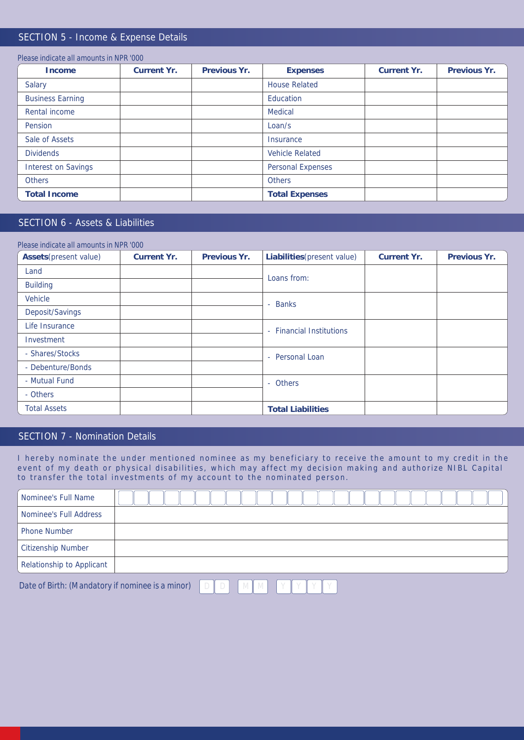## SECTION 5 - Income & Expense Details

| Please indicate all amounts in NPR '000' |             |              |                          |             |              |
|------------------------------------------|-------------|--------------|--------------------------|-------------|--------------|
| Income                                   | Current Yr. | Previous Yr. | <b>Expenses</b>          | Current Yr. | Previous Yr. |
| <b>Salary</b>                            |             |              | <b>House Related</b>     |             |              |
| <b>Business Earning</b>                  |             |              | Education                |             |              |
| <b>Rental income</b>                     |             |              | <b>Medical</b>           |             |              |
| Pension                                  |             |              | Loan/s                   |             |              |
| Sale of Assets                           |             |              | <b>Insurance</b>         |             |              |
| <b>Dividends</b>                         |             |              | <b>Vehicle Related</b>   |             |              |
| <b>Interest on Savings</b>               |             |              | <b>Personal Expenses</b> |             |              |
| <b>Others</b>                            |             |              | <b>Others</b>            |             |              |
| <b>Total Income</b>                      |             |              | <b>Total Expenses</b>    |             |              |

# SECTION 6 - Assets & Liabilities

| Please indicate all amounts in NPR '000 |             |              |                             |             |              |
|-----------------------------------------|-------------|--------------|-----------------------------|-------------|--------------|
| Assets (present value)                  | Current Yr. | Previous Yr. | Liabilities (present value) | Current Yr. | Previous Yr. |
| Land                                    |             |              | Loans from:                 |             |              |
| <b>Building</b>                         |             |              |                             |             |              |
| <b>Vehicle</b>                          |             |              | - Banks                     |             |              |
| Deposit/Savings                         |             |              |                             |             |              |
| Life Insurance                          |             |              | - Financial Institutions    |             |              |
| Investment                              |             |              |                             |             |              |
| - Shares/Stocks                         |             |              | - Personal Loan             |             |              |
| - Debenture/Bonds                       |             |              |                             |             |              |
| - Mutual Fund                           |             |              | - Others                    |             |              |
| - Others                                |             |              |                             |             |              |
| <b>Total Assets</b>                     |             |              | <b>Total Liabilities</b>    |             |              |

# SECTION 7 - Nomination Details

I hereby nominate the under mentioned nominee as my beneficiary to receive the amount to my credit in the event of my death or physical disabilities, which may affect my decision making and authorize NIBL Capital to transfer the total investments of my account to the nominated person.

| Nominee's Full Name       |  |
|---------------------------|--|
| Nominee's Full Address    |  |
| <b>Phone Number</b>       |  |
| Citizenship Number        |  |
| Relationship to Applicant |  |

*Date of Birth: (Mandatory if nominee is a minor)*  $\Box$   $D$   $\Box$   $M$   $M$   $\Box$   $Y$   $Y$